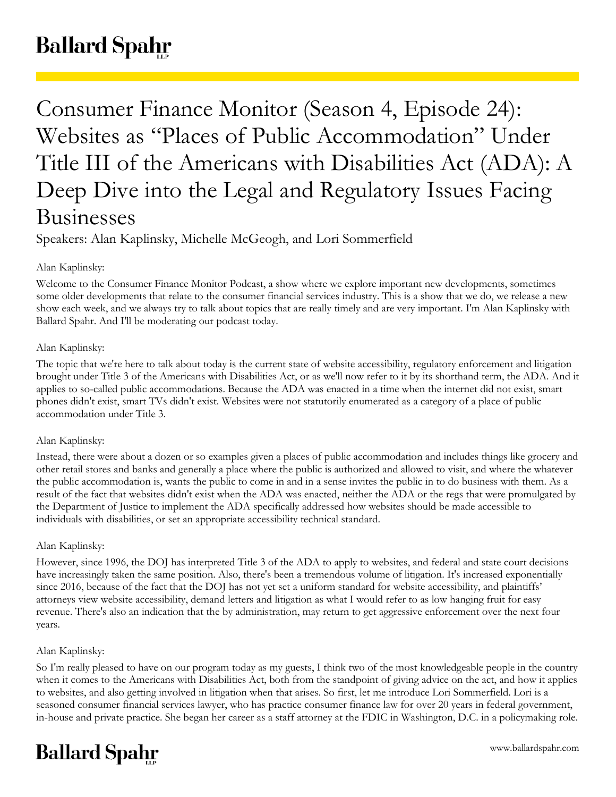# **Ballard Spahr**

Consumer Finance Monitor (Season 4, Episode 24): Websites as "Places of Public Accommodation" Under Title III of the Americans with Disabilities Act (ADA): A Deep Dive into the Legal and Regulatory Issues Facing Businesses

Speakers: Alan Kaplinsky, Michelle McGeogh, and Lori Sommerfield

# Alan Kaplinsky:

Welcome to the Consumer Finance Monitor Podcast, a show where we explore important new developments, sometimes some older developments that relate to the consumer financial services industry. This is a show that we do, we release a new show each week, and we always try to talk about topics that are really timely and are very important. I'm Alan Kaplinsky with Ballard Spahr. And I'll be moderating our podcast today.

# Alan Kaplinsky:

The topic that we're here to talk about today is the current state of website accessibility, regulatory enforcement and litigation brought under Title 3 of the Americans with Disabilities Act, or as we'll now refer to it by its shorthand term, the ADA. And it applies to so-called public accommodations. Because the ADA was enacted in a time when the internet did not exist, smart phones didn't exist, smart TVs didn't exist. Websites were not statutorily enumerated as a category of a place of public accommodation under Title 3.

# Alan Kaplinsky:

Instead, there were about a dozen or so examples given a places of public accommodation and includes things like grocery and other retail stores and banks and generally a place where the public is authorized and allowed to visit, and where the whatever the public accommodation is, wants the public to come in and in a sense invites the public in to do business with them. As a result of the fact that websites didn't exist when the ADA was enacted, neither the ADA or the regs that were promulgated by the Department of Justice to implement the ADA specifically addressed how websites should be made accessible to individuals with disabilities, or set an appropriate accessibility technical standard.

# Alan Kaplinsky:

However, since 1996, the DOJ has interpreted Title 3 of the ADA to apply to websites, and federal and state court decisions have increasingly taken the same position. Also, there's been a tremendous volume of litigation. It's increased exponentially since 2016, because of the fact that the DOJ has not yet set a uniform standard for website accessibility, and plaintiffs' attorneys view website accessibility, demand letters and litigation as what I would refer to as low hanging fruit for easy revenue. There's also an indication that the by administration, may return to get aggressive enforcement over the next four years.

# Alan Kaplinsky:

So I'm really pleased to have on our program today as my guests, I think two of the most knowledgeable people in the country when it comes to the Americans with Disabilities Act, both from the standpoint of giving advice on the act, and how it applies to websites, and also getting involved in litigation when that arises. So first, let me introduce Lori Sommerfield. Lori is a seasoned consumer financial services lawyer, who has practice consumer finance law for over 20 years in federal government, in-house and private practice. She began her career as a staff attorney at the FDIC in Washington, D.C. in a policymaking role.

# **Ballard Spahr**

www.ballardspahr.com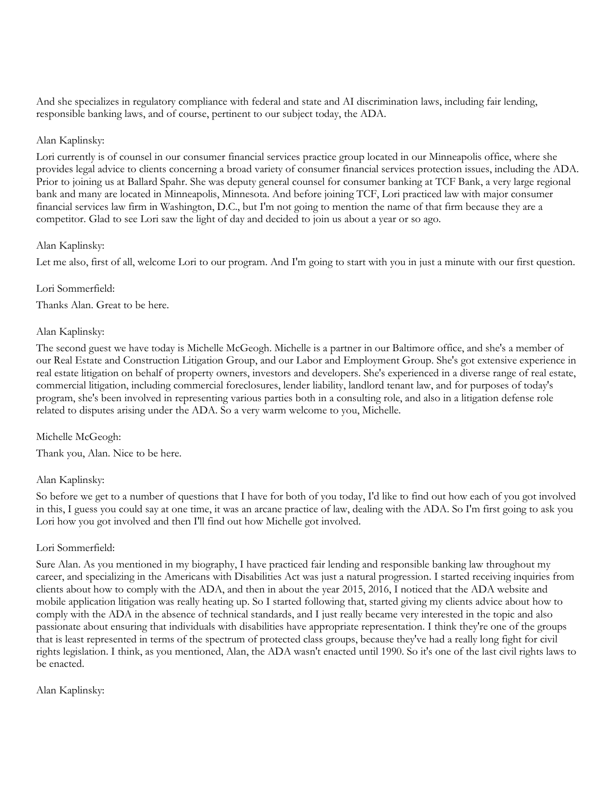And she specializes in regulatory compliance with federal and state and AI discrimination laws, including fair lending, responsible banking laws, and of course, pertinent to our subject today, the ADA.

#### Alan Kaplinsky:

Lori currently is of counsel in our consumer financial services practice group located in our Minneapolis office, where she provides legal advice to clients concerning a broad variety of consumer financial services protection issues, including the ADA. Prior to joining us at Ballard Spahr. She was deputy general counsel for consumer banking at TCF Bank, a very large regional bank and many are located in Minneapolis, Minnesota. And before joining TCF, Lori practiced law with major consumer financial services law firm in Washington, D.C., but I'm not going to mention the name of that firm because they are a competitor. Glad to see Lori saw the light of day and decided to join us about a year or so ago.

#### Alan Kaplinsky:

Let me also, first of all, welcome Lori to our program. And I'm going to start with you in just a minute with our first question.

#### Lori Sommerfield:

Thanks Alan. Great to be here.

#### Alan Kaplinsky:

The second guest we have today is Michelle McGeogh. Michelle is a partner in our Baltimore office, and she's a member of our Real Estate and Construction Litigation Group, and our Labor and Employment Group. She's got extensive experience in real estate litigation on behalf of property owners, investors and developers. She's experienced in a diverse range of real estate, commercial litigation, including commercial foreclosures, lender liability, landlord tenant law, and for purposes of today's program, she's been involved in representing various parties both in a consulting role, and also in a litigation defense role related to disputes arising under the ADA. So a very warm welcome to you, Michelle.

# Michelle McGeogh:

Thank you, Alan. Nice to be here.

# Alan Kaplinsky:

So before we get to a number of questions that I have for both of you today, I'd like to find out how each of you got involved in this, I guess you could say at one time, it was an arcane practice of law, dealing with the ADA. So I'm first going to ask you Lori how you got involved and then I'll find out how Michelle got involved.

# Lori Sommerfield:

Sure Alan. As you mentioned in my biography, I have practiced fair lending and responsible banking law throughout my career, and specializing in the Americans with Disabilities Act was just a natural progression. I started receiving inquiries from clients about how to comply with the ADA, and then in about the year 2015, 2016, I noticed that the ADA website and mobile application litigation was really heating up. So I started following that, started giving my clients advice about how to comply with the ADA in the absence of technical standards, and I just really became very interested in the topic and also passionate about ensuring that individuals with disabilities have appropriate representation. I think they're one of the groups that is least represented in terms of the spectrum of protected class groups, because they've had a really long fight for civil rights legislation. I think, as you mentioned, Alan, the ADA wasn't enacted until 1990. So it's one of the last civil rights laws to be enacted.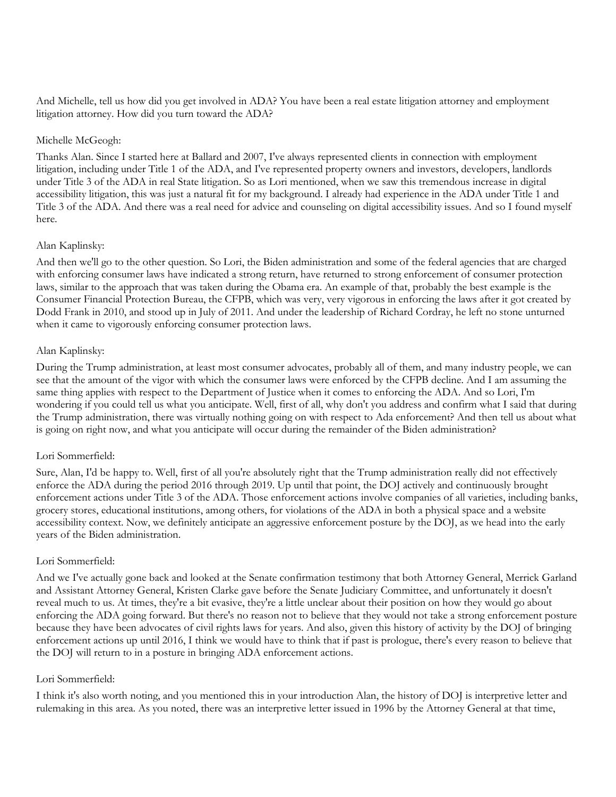And Michelle, tell us how did you get involved in ADA? You have been a real estate litigation attorney and employment litigation attorney. How did you turn toward the ADA?

#### Michelle McGeogh:

Thanks Alan. Since I started here at Ballard and 2007, I've always represented clients in connection with employment litigation, including under Title 1 of the ADA, and I've represented property owners and investors, developers, landlords under Title 3 of the ADA in real State litigation. So as Lori mentioned, when we saw this tremendous increase in digital accessibility litigation, this was just a natural fit for my background. I already had experience in the ADA under Title 1 and Title 3 of the ADA. And there was a real need for advice and counseling on digital accessibility issues. And so I found myself here.

# Alan Kaplinsky:

And then we'll go to the other question. So Lori, the Biden administration and some of the federal agencies that are charged with enforcing consumer laws have indicated a strong return, have returned to strong enforcement of consumer protection laws, similar to the approach that was taken during the Obama era. An example of that, probably the best example is the Consumer Financial Protection Bureau, the CFPB, which was very, very vigorous in enforcing the laws after it got created by Dodd Frank in 2010, and stood up in July of 2011. And under the leadership of Richard Cordray, he left no stone unturned when it came to vigorously enforcing consumer protection laws.

#### Alan Kaplinsky:

During the Trump administration, at least most consumer advocates, probably all of them, and many industry people, we can see that the amount of the vigor with which the consumer laws were enforced by the CFPB decline. And I am assuming the same thing applies with respect to the Department of Justice when it comes to enforcing the ADA. And so Lori, I'm wondering if you could tell us what you anticipate. Well, first of all, why don't you address and confirm what I said that during the Trump administration, there was virtually nothing going on with respect to Ada enforcement? And then tell us about what is going on right now, and what you anticipate will occur during the remainder of the Biden administration?

# Lori Sommerfield:

Sure, Alan, I'd be happy to. Well, first of all you're absolutely right that the Trump administration really did not effectively enforce the ADA during the period 2016 through 2019. Up until that point, the DOJ actively and continuously brought enforcement actions under Title 3 of the ADA. Those enforcement actions involve companies of all varieties, including banks, grocery stores, educational institutions, among others, for violations of the ADA in both a physical space and a website accessibility context. Now, we definitely anticipate an aggressive enforcement posture by the DOJ, as we head into the early years of the Biden administration.

#### Lori Sommerfield:

And we I've actually gone back and looked at the Senate confirmation testimony that both Attorney General, Merrick Garland and Assistant Attorney General, Kristen Clarke gave before the Senate Judiciary Committee, and unfortunately it doesn't reveal much to us. At times, they're a bit evasive, they're a little unclear about their position on how they would go about enforcing the ADA going forward. But there's no reason not to believe that they would not take a strong enforcement posture because they have been advocates of civil rights laws for years. And also, given this history of activity by the DOJ of bringing enforcement actions up until 2016, I think we would have to think that if past is prologue, there's every reason to believe that the DOJ will return to in a posture in bringing ADA enforcement actions.

# Lori Sommerfield:

I think it's also worth noting, and you mentioned this in your introduction Alan, the history of DOJ is interpretive letter and rulemaking in this area. As you noted, there was an interpretive letter issued in 1996 by the Attorney General at that time,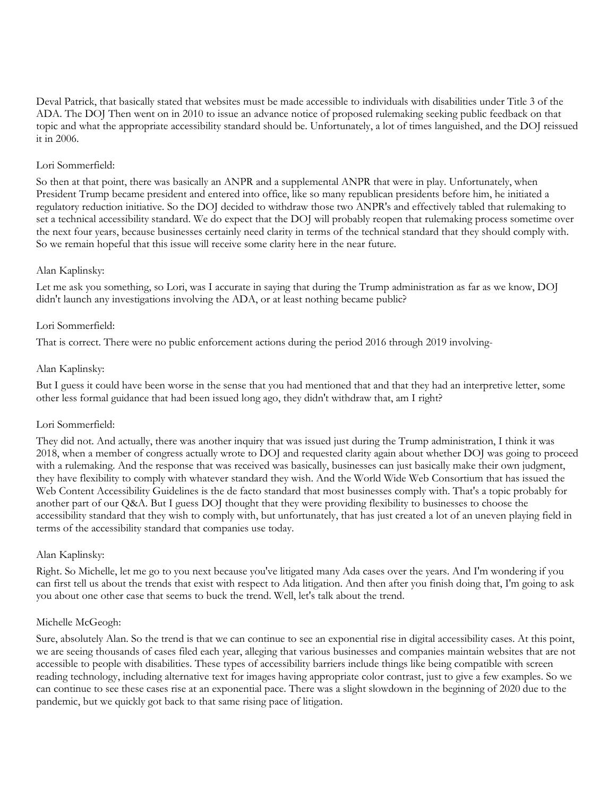Deval Patrick, that basically stated that websites must be made accessible to individuals with disabilities under Title 3 of the ADA. The DOJ Then went on in 2010 to issue an advance notice of proposed rulemaking seeking public feedback on that topic and what the appropriate accessibility standard should be. Unfortunately, a lot of times languished, and the DOJ reissued it in 2006.

#### Lori Sommerfield:

So then at that point, there was basically an ANPR and a supplemental ANPR that were in play. Unfortunately, when President Trump became president and entered into office, like so many republican presidents before him, he initiated a regulatory reduction initiative. So the DOJ decided to withdraw those two ANPR's and effectively tabled that rulemaking to set a technical accessibility standard. We do expect that the DOJ will probably reopen that rulemaking process sometime over the next four years, because businesses certainly need clarity in terms of the technical standard that they should comply with. So we remain hopeful that this issue will receive some clarity here in the near future.

#### Alan Kaplinsky:

Let me ask you something, so Lori, was I accurate in saying that during the Trump administration as far as we know, DOJ didn't launch any investigations involving the ADA, or at least nothing became public?

#### Lori Sommerfield:

That is correct. There were no public enforcement actions during the period 2016 through 2019 involving-

#### Alan Kaplinsky:

But I guess it could have been worse in the sense that you had mentioned that and that they had an interpretive letter, some other less formal guidance that had been issued long ago, they didn't withdraw that, am I right?

# Lori Sommerfield:

They did not. And actually, there was another inquiry that was issued just during the Trump administration, I think it was 2018, when a member of congress actually wrote to DOJ and requested clarity again about whether DOJ was going to proceed with a rulemaking. And the response that was received was basically, businesses can just basically make their own judgment, they have flexibility to comply with whatever standard they wish. And the World Wide Web Consortium that has issued the Web Content Accessibility Guidelines is the de facto standard that most businesses comply with. That's a topic probably for another part of our Q&A. But I guess DOJ thought that they were providing flexibility to businesses to choose the accessibility standard that they wish to comply with, but unfortunately, that has just created a lot of an uneven playing field in terms of the accessibility standard that companies use today.

# Alan Kaplinsky:

Right. So Michelle, let me go to you next because you've litigated many Ada cases over the years. And I'm wondering if you can first tell us about the trends that exist with respect to Ada litigation. And then after you finish doing that, I'm going to ask you about one other case that seems to buck the trend. Well, let's talk about the trend.

# Michelle McGeogh:

Sure, absolutely Alan. So the trend is that we can continue to see an exponential rise in digital accessibility cases. At this point, we are seeing thousands of cases filed each year, alleging that various businesses and companies maintain websites that are not accessible to people with disabilities. These types of accessibility barriers include things like being compatible with screen reading technology, including alternative text for images having appropriate color contrast, just to give a few examples. So we can continue to see these cases rise at an exponential pace. There was a slight slowdown in the beginning of 2020 due to the pandemic, but we quickly got back to that same rising pace of litigation.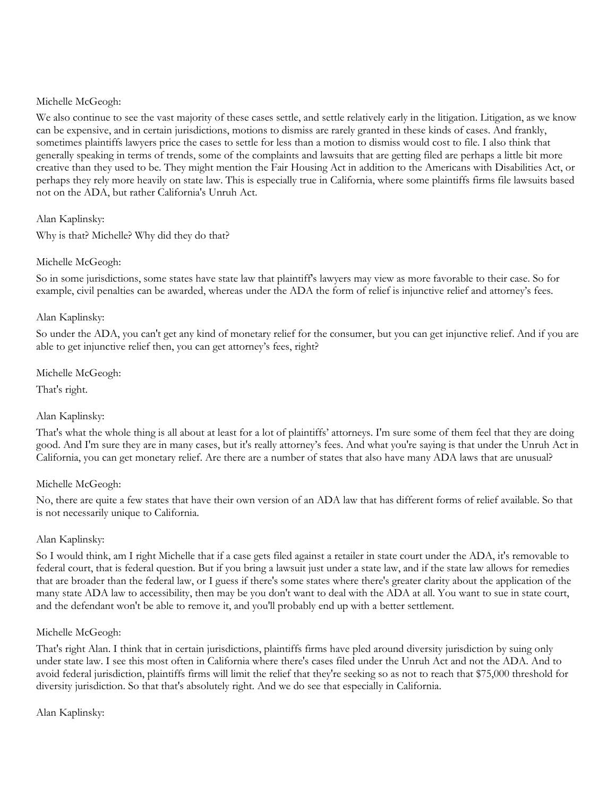#### Michelle McGeogh:

We also continue to see the vast majority of these cases settle, and settle relatively early in the litigation. Litigation, as we know can be expensive, and in certain jurisdictions, motions to dismiss are rarely granted in these kinds of cases. And frankly, sometimes plaintiffs lawyers price the cases to settle for less than a motion to dismiss would cost to file. I also think that generally speaking in terms of trends, some of the complaints and lawsuits that are getting filed are perhaps a little bit more creative than they used to be. They might mention the Fair Housing Act in addition to the Americans with Disabilities Act, or perhaps they rely more heavily on state law. This is especially true in California, where some plaintiffs firms file lawsuits based not on the ADA, but rather California's Unruh Act.

#### Alan Kaplinsky:

Why is that? Michelle? Why did they do that?

# Michelle McGeogh:

So in some jurisdictions, some states have state law that plaintiff's lawyers may view as more favorable to their case. So for example, civil penalties can be awarded, whereas under the ADA the form of relief is injunctive relief and attorney's fees.

#### Alan Kaplinsky:

So under the ADA, you can't get any kind of monetary relief for the consumer, but you can get injunctive relief. And if you are able to get injunctive relief then, you can get attorney's fees, right?

Michelle McGeogh:

That's right.

# Alan Kaplinsky:

That's what the whole thing is all about at least for a lot of plaintiffs' attorneys. I'm sure some of them feel that they are doing good. And I'm sure they are in many cases, but it's really attorney's fees. And what you're saying is that under the Unruh Act in California, you can get monetary relief. Are there are a number of states that also have many ADA laws that are unusual?

# Michelle McGeogh:

No, there are quite a few states that have their own version of an ADA law that has different forms of relief available. So that is not necessarily unique to California.

# Alan Kaplinsky:

So I would think, am I right Michelle that if a case gets filed against a retailer in state court under the ADA, it's removable to federal court, that is federal question. But if you bring a lawsuit just under a state law, and if the state law allows for remedies that are broader than the federal law, or I guess if there's some states where there's greater clarity about the application of the many state ADA law to accessibility, then may be you don't want to deal with the ADA at all. You want to sue in state court, and the defendant won't be able to remove it, and you'll probably end up with a better settlement.

#### Michelle McGeogh:

That's right Alan. I think that in certain jurisdictions, plaintiffs firms have pled around diversity jurisdiction by suing only under state law. I see this most often in California where there's cases filed under the Unruh Act and not the ADA. And to avoid federal jurisdiction, plaintiffs firms will limit the relief that they're seeking so as not to reach that \$75,000 threshold for diversity jurisdiction. So that that's absolutely right. And we do see that especially in California.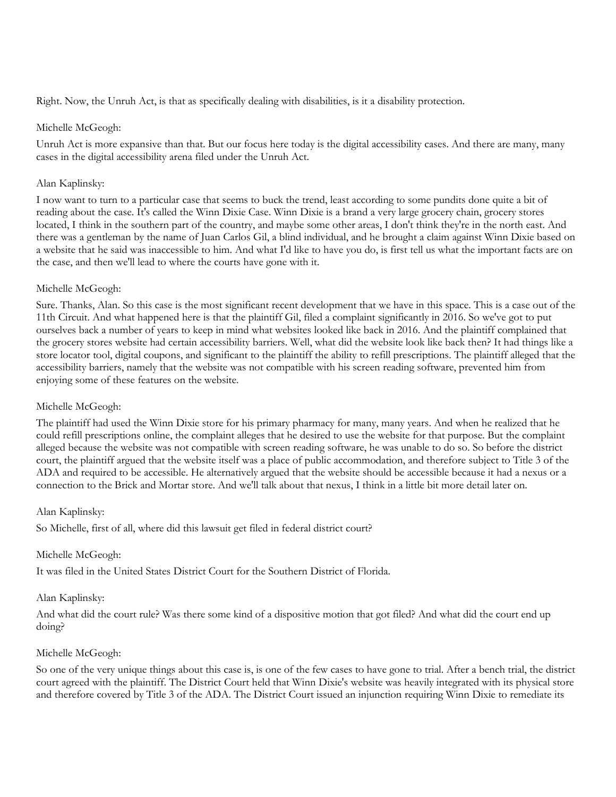Right. Now, the Unruh Act, is that as specifically dealing with disabilities, is it a disability protection.

#### Michelle McGeogh:

Unruh Act is more expansive than that. But our focus here today is the digital accessibility cases. And there are many, many cases in the digital accessibility arena filed under the Unruh Act.

# Alan Kaplinsky:

I now want to turn to a particular case that seems to buck the trend, least according to some pundits done quite a bit of reading about the case. It's called the Winn Dixie Case. Winn Dixie is a brand a very large grocery chain, grocery stores located, I think in the southern part of the country, and maybe some other areas, I don't think they're in the north east. And there was a gentleman by the name of Juan Carlos Gil, a blind individual, and he brought a claim against Winn Dixie based on a website that he said was inaccessible to him. And what I'd like to have you do, is first tell us what the important facts are on the case, and then we'll lead to where the courts have gone with it.

# Michelle McGeogh:

Sure. Thanks, Alan. So this case is the most significant recent development that we have in this space. This is a case out of the 11th Circuit. And what happened here is that the plaintiff Gil, filed a complaint significantly in 2016. So we've got to put ourselves back a number of years to keep in mind what websites looked like back in 2016. And the plaintiff complained that the grocery stores website had certain accessibility barriers. Well, what did the website look like back then? It had things like a store locator tool, digital coupons, and significant to the plaintiff the ability to refill prescriptions. The plaintiff alleged that the accessibility barriers, namely that the website was not compatible with his screen reading software, prevented him from enjoying some of these features on the website.

# Michelle McGeogh:

The plaintiff had used the Winn Dixie store for his primary pharmacy for many, many years. And when he realized that he could refill prescriptions online, the complaint alleges that he desired to use the website for that purpose. But the complaint alleged because the website was not compatible with screen reading software, he was unable to do so. So before the district court, the plaintiff argued that the website itself was a place of public accommodation, and therefore subject to Title 3 of the ADA and required to be accessible. He alternatively argued that the website should be accessible because it had a nexus or a connection to the Brick and Mortar store. And we'll talk about that nexus, I think in a little bit more detail later on.

# Alan Kaplinsky:

So Michelle, first of all, where did this lawsuit get filed in federal district court?

# Michelle McGeogh:

It was filed in the United States District Court for the Southern District of Florida.

# Alan Kaplinsky:

And what did the court rule? Was there some kind of a dispositive motion that got filed? And what did the court end up doing?

# Michelle McGeogh:

So one of the very unique things about this case is, is one of the few cases to have gone to trial. After a bench trial, the district court agreed with the plaintiff. The District Court held that Winn Dixie's website was heavily integrated with its physical store and therefore covered by Title 3 of the ADA. The District Court issued an injunction requiring Winn Dixie to remediate its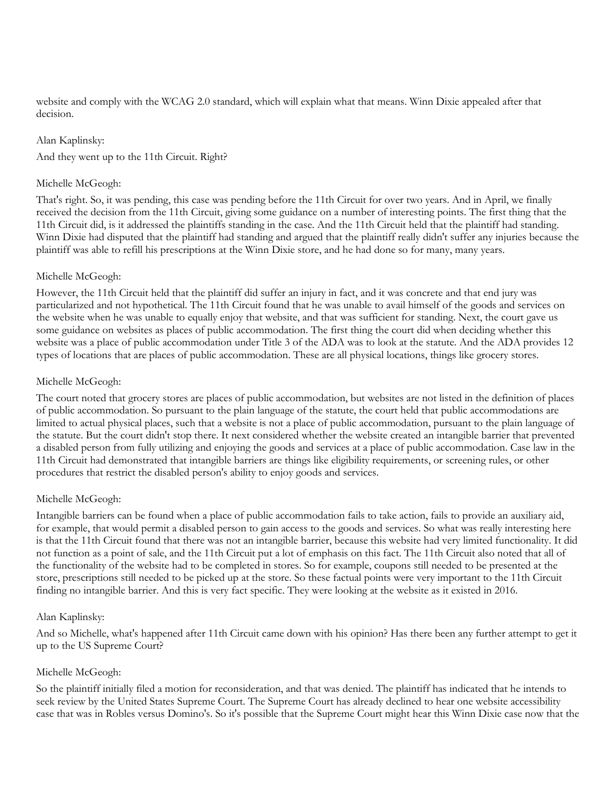website and comply with the WCAG 2.0 standard, which will explain what that means. Winn Dixie appealed after that decision.

#### Alan Kaplinsky:

And they went up to the 11th Circuit. Right?

#### Michelle McGeogh:

That's right. So, it was pending, this case was pending before the 11th Circuit for over two years. And in April, we finally received the decision from the 11th Circuit, giving some guidance on a number of interesting points. The first thing that the 11th Circuit did, is it addressed the plaintiffs standing in the case. And the 11th Circuit held that the plaintiff had standing. Winn Dixie had disputed that the plaintiff had standing and argued that the plaintiff really didn't suffer any injuries because the plaintiff was able to refill his prescriptions at the Winn Dixie store, and he had done so for many, many years.

# Michelle McGeogh:

However, the 11th Circuit held that the plaintiff did suffer an injury in fact, and it was concrete and that end jury was particularized and not hypothetical. The 11th Circuit found that he was unable to avail himself of the goods and services on the website when he was unable to equally enjoy that website, and that was sufficient for standing. Next, the court gave us some guidance on websites as places of public accommodation. The first thing the court did when deciding whether this website was a place of public accommodation under Title 3 of the ADA was to look at the statute. And the ADA provides 12 types of locations that are places of public accommodation. These are all physical locations, things like grocery stores.

# Michelle McGeogh:

The court noted that grocery stores are places of public accommodation, but websites are not listed in the definition of places of public accommodation. So pursuant to the plain language of the statute, the court held that public accommodations are limited to actual physical places, such that a website is not a place of public accommodation, pursuant to the plain language of the statute. But the court didn't stop there. It next considered whether the website created an intangible barrier that prevented a disabled person from fully utilizing and enjoying the goods and services at a place of public accommodation. Case law in the 11th Circuit had demonstrated that intangible barriers are things like eligibility requirements, or screening rules, or other procedures that restrict the disabled person's ability to enjoy goods and services.

# Michelle McGeogh:

Intangible barriers can be found when a place of public accommodation fails to take action, fails to provide an auxiliary aid, for example, that would permit a disabled person to gain access to the goods and services. So what was really interesting here is that the 11th Circuit found that there was not an intangible barrier, because this website had very limited functionality. It did not function as a point of sale, and the 11th Circuit put a lot of emphasis on this fact. The 11th Circuit also noted that all of the functionality of the website had to be completed in stores. So for example, coupons still needed to be presented at the store, prescriptions still needed to be picked up at the store. So these factual points were very important to the 11th Circuit finding no intangible barrier. And this is very fact specific. They were looking at the website as it existed in 2016.

#### Alan Kaplinsky:

And so Michelle, what's happened after 11th Circuit came down with his opinion? Has there been any further attempt to get it up to the US Supreme Court?

# Michelle McGeogh:

So the plaintiff initially filed a motion for reconsideration, and that was denied. The plaintiff has indicated that he intends to seek review by the United States Supreme Court. The Supreme Court has already declined to hear one website accessibility case that was in Robles versus Domino's. So it's possible that the Supreme Court might hear this Winn Dixie case now that the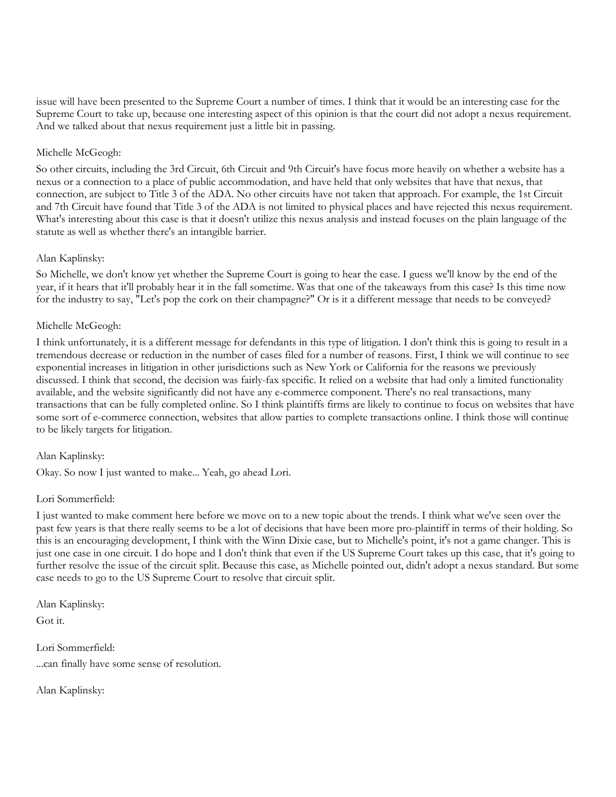issue will have been presented to the Supreme Court a number of times. I think that it would be an interesting case for the Supreme Court to take up, because one interesting aspect of this opinion is that the court did not adopt a nexus requirement. And we talked about that nexus requirement just a little bit in passing.

# Michelle McGeogh:

So other circuits, including the 3rd Circuit, 6th Circuit and 9th Circuit's have focus more heavily on whether a website has a nexus or a connection to a place of public accommodation, and have held that only websites that have that nexus, that connection, are subject to Title 3 of the ADA. No other circuits have not taken that approach. For example, the 1st Circuit and 7th Circuit have found that Title 3 of the ADA is not limited to physical places and have rejected this nexus requirement. What's interesting about this case is that it doesn't utilize this nexus analysis and instead focuses on the plain language of the statute as well as whether there's an intangible barrier.

# Alan Kaplinsky:

So Michelle, we don't know yet whether the Supreme Court is going to hear the case. I guess we'll know by the end of the year, if it hears that it'll probably hear it in the fall sometime. Was that one of the takeaways from this case? Is this time now for the industry to say, "Let's pop the cork on their champagne?" Or is it a different message that needs to be conveyed?

# Michelle McGeogh:

I think unfortunately, it is a different message for defendants in this type of litigation. I don't think this is going to result in a tremendous decrease or reduction in the number of cases filed for a number of reasons. First, I think we will continue to see exponential increases in litigation in other jurisdictions such as New York or California for the reasons we previously discussed. I think that second, the decision was fairly-fax specific. It relied on a website that had only a limited functionality available, and the website significantly did not have any e-commerce component. There's no real transactions, many transactions that can be fully completed online. So I think plaintiffs firms are likely to continue to focus on websites that have some sort of e-commerce connection, websites that allow parties to complete transactions online. I think those will continue to be likely targets for litigation.

# Alan Kaplinsky:

Okay. So now I just wanted to make... Yeah, go ahead Lori.

# Lori Sommerfield:

I just wanted to make comment here before we move on to a new topic about the trends. I think what we've seen over the past few years is that there really seems to be a lot of decisions that have been more pro-plaintiff in terms of their holding. So this is an encouraging development, I think with the Winn Dixie case, but to Michelle's point, it's not a game changer. This is just one case in one circuit. I do hope and I don't think that even if the US Supreme Court takes up this case, that it's going to further resolve the issue of the circuit split. Because this case, as Michelle pointed out, didn't adopt a nexus standard. But some case needs to go to the US Supreme Court to resolve that circuit split.

Alan Kaplinsky:

Got it.

Lori Sommerfield: ...can finally have some sense of resolution.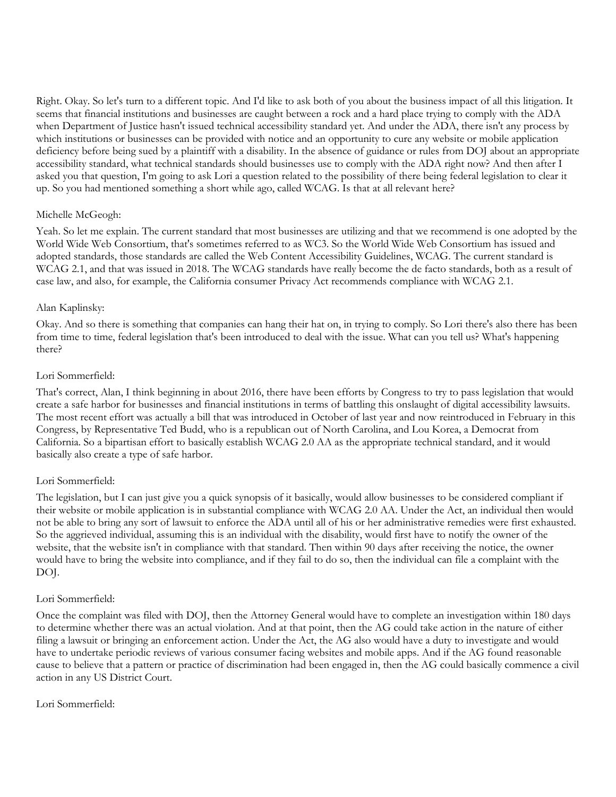Right. Okay. So let's turn to a different topic. And I'd like to ask both of you about the business impact of all this litigation. It seems that financial institutions and businesses are caught between a rock and a hard place trying to comply with the ADA when Department of Justice hasn't issued technical accessibility standard yet. And under the ADA, there isn't any process by which institutions or businesses can be provided with notice and an opportunity to cure any website or mobile application deficiency before being sued by a plaintiff with a disability. In the absence of guidance or rules from DOJ about an appropriate accessibility standard, what technical standards should businesses use to comply with the ADA right now? And then after I asked you that question, I'm going to ask Lori a question related to the possibility of there being federal legislation to clear it up. So you had mentioned something a short while ago, called WCAG. Is that at all relevant here?

# Michelle McGeogh:

Yeah. So let me explain. The current standard that most businesses are utilizing and that we recommend is one adopted by the World Wide Web Consortium, that's sometimes referred to as WC3. So the World Wide Web Consortium has issued and adopted standards, those standards are called the Web Content Accessibility Guidelines, WCAG. The current standard is WCAG 2.1, and that was issued in 2018. The WCAG standards have really become the de facto standards, both as a result of case law, and also, for example, the California consumer Privacy Act recommends compliance with WCAG 2.1.

# Alan Kaplinsky:

Okay. And so there is something that companies can hang their hat on, in trying to comply. So Lori there's also there has been from time to time, federal legislation that's been introduced to deal with the issue. What can you tell us? What's happening there?

#### Lori Sommerfield:

That's correct, Alan, I think beginning in about 2016, there have been efforts by Congress to try to pass legislation that would create a safe harbor for businesses and financial institutions in terms of battling this onslaught of digital accessibility lawsuits. The most recent effort was actually a bill that was introduced in October of last year and now reintroduced in February in this Congress, by Representative Ted Budd, who is a republican out of North Carolina, and Lou Korea, a Democrat from California. So a bipartisan effort to basically establish WCAG 2.0 AA as the appropriate technical standard, and it would basically also create a type of safe harbor.

# Lori Sommerfield:

The legislation, but I can just give you a quick synopsis of it basically, would allow businesses to be considered compliant if their website or mobile application is in substantial compliance with WCAG 2.0 AA. Under the Act, an individual then would not be able to bring any sort of lawsuit to enforce the ADA until all of his or her administrative remedies were first exhausted. So the aggrieved individual, assuming this is an individual with the disability, would first have to notify the owner of the website, that the website isn't in compliance with that standard. Then within 90 days after receiving the notice, the owner would have to bring the website into compliance, and if they fail to do so, then the individual can file a complaint with the DOJ.

#### Lori Sommerfield:

Once the complaint was filed with DOJ, then the Attorney General would have to complete an investigation within 180 days to determine whether there was an actual violation. And at that point, then the AG could take action in the nature of either filing a lawsuit or bringing an enforcement action. Under the Act, the AG also would have a duty to investigate and would have to undertake periodic reviews of various consumer facing websites and mobile apps. And if the AG found reasonable cause to believe that a pattern or practice of discrimination had been engaged in, then the AG could basically commence a civil action in any US District Court.

# Lori Sommerfield: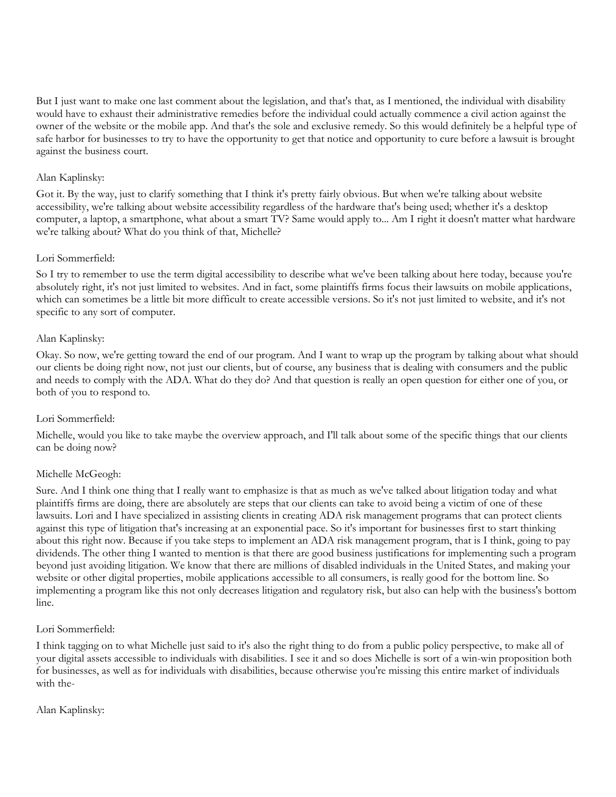But I just want to make one last comment about the legislation, and that's that, as I mentioned, the individual with disability would have to exhaust their administrative remedies before the individual could actually commence a civil action against the owner of the website or the mobile app. And that's the sole and exclusive remedy. So this would definitely be a helpful type of safe harbor for businesses to try to have the opportunity to get that notice and opportunity to cure before a lawsuit is brought against the business court.

# Alan Kaplinsky:

Got it. By the way, just to clarify something that I think it's pretty fairly obvious. But when we're talking about website accessibility, we're talking about website accessibility regardless of the hardware that's being used; whether it's a desktop computer, a laptop, a smartphone, what about a smart TV? Same would apply to... Am I right it doesn't matter what hardware we're talking about? What do you think of that, Michelle?

#### Lori Sommerfield:

So I try to remember to use the term digital accessibility to describe what we've been talking about here today, because you're absolutely right, it's not just limited to websites. And in fact, some plaintiffs firms focus their lawsuits on mobile applications, which can sometimes be a little bit more difficult to create accessible versions. So it's not just limited to website, and it's not specific to any sort of computer.

#### Alan Kaplinsky:

Okay. So now, we're getting toward the end of our program. And I want to wrap up the program by talking about what should our clients be doing right now, not just our clients, but of course, any business that is dealing with consumers and the public and needs to comply with the ADA. What do they do? And that question is really an open question for either one of you, or both of you to respond to.

#### Lori Sommerfield:

Michelle, would you like to take maybe the overview approach, and I'll talk about some of the specific things that our clients can be doing now?

# Michelle McGeogh:

Sure. And I think one thing that I really want to emphasize is that as much as we've talked about litigation today and what plaintiffs firms are doing, there are absolutely are steps that our clients can take to avoid being a victim of one of these lawsuits. Lori and I have specialized in assisting clients in creating ADA risk management programs that can protect clients against this type of litigation that's increasing at an exponential pace. So it's important for businesses first to start thinking about this right now. Because if you take steps to implement an ADA risk management program, that is I think, going to pay dividends. The other thing I wanted to mention is that there are good business justifications for implementing such a program beyond just avoiding litigation. We know that there are millions of disabled individuals in the United States, and making your website or other digital properties, mobile applications accessible to all consumers, is really good for the bottom line. So implementing a program like this not only decreases litigation and regulatory risk, but also can help with the business's bottom line.

#### Lori Sommerfield:

I think tagging on to what Michelle just said to it's also the right thing to do from a public policy perspective, to make all of your digital assets accessible to individuals with disabilities. I see it and so does Michelle is sort of a win-win proposition both for businesses, as well as for individuals with disabilities, because otherwise you're missing this entire market of individuals with the-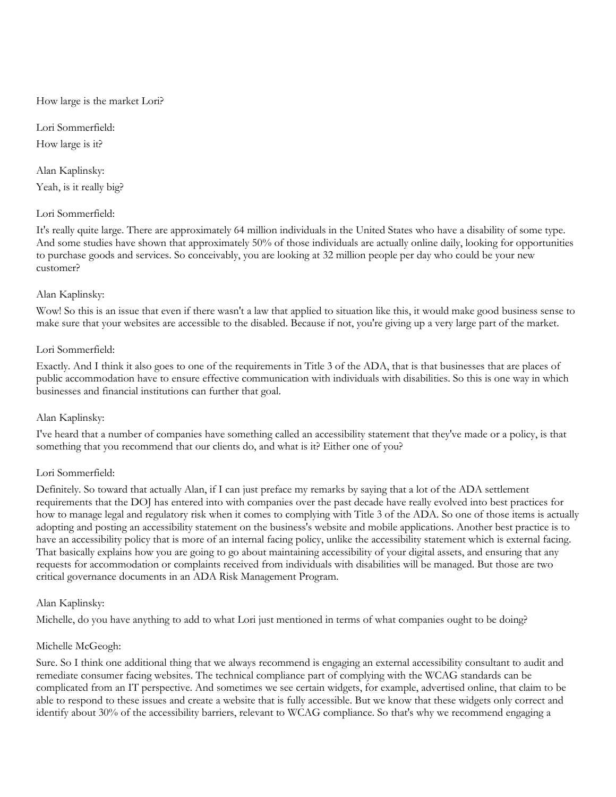#### How large is the market Lori?

Lori Sommerfield: How large is it?

Alan Kaplinsky: Yeah, is it really big?

#### Lori Sommerfield:

It's really quite large. There are approximately 64 million individuals in the United States who have a disability of some type. And some studies have shown that approximately 50% of those individuals are actually online daily, looking for opportunities to purchase goods and services. So conceivably, you are looking at 32 million people per day who could be your new customer?

# Alan Kaplinsky:

Wow! So this is an issue that even if there wasn't a law that applied to situation like this, it would make good business sense to make sure that your websites are accessible to the disabled. Because if not, you're giving up a very large part of the market.

#### Lori Sommerfield:

Exactly. And I think it also goes to one of the requirements in Title 3 of the ADA, that is that businesses that are places of public accommodation have to ensure effective communication with individuals with disabilities. So this is one way in which businesses and financial institutions can further that goal.

#### Alan Kaplinsky:

I've heard that a number of companies have something called an accessibility statement that they've made or a policy, is that something that you recommend that our clients do, and what is it? Either one of you?

# Lori Sommerfield:

Definitely. So toward that actually Alan, if I can just preface my remarks by saying that a lot of the ADA settlement requirements that the DOJ has entered into with companies over the past decade have really evolved into best practices for how to manage legal and regulatory risk when it comes to complying with Title 3 of the ADA. So one of those items is actually adopting and posting an accessibility statement on the business's website and mobile applications. Another best practice is to have an accessibility policy that is more of an internal facing policy, unlike the accessibility statement which is external facing. That basically explains how you are going to go about maintaining accessibility of your digital assets, and ensuring that any requests for accommodation or complaints received from individuals with disabilities will be managed. But those are two critical governance documents in an ADA Risk Management Program.

#### Alan Kaplinsky:

Michelle, do you have anything to add to what Lori just mentioned in terms of what companies ought to be doing?

# Michelle McGeogh:

Sure. So I think one additional thing that we always recommend is engaging an external accessibility consultant to audit and remediate consumer facing websites. The technical compliance part of complying with the WCAG standards can be complicated from an IT perspective. And sometimes we see certain widgets, for example, advertised online, that claim to be able to respond to these issues and create a website that is fully accessible. But we know that these widgets only correct and identify about 30% of the accessibility barriers, relevant to WCAG compliance. So that's why we recommend engaging a